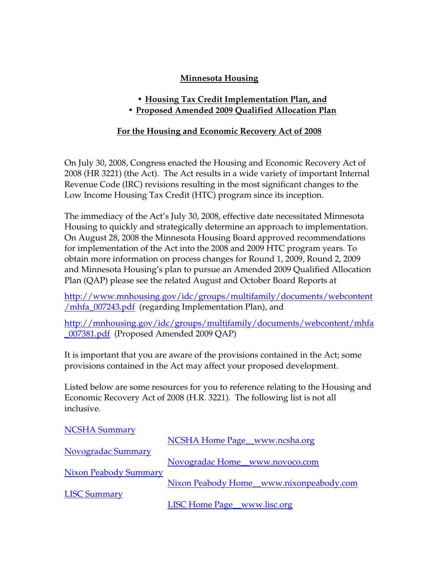## **Minnesota Housing**

- **Housing Tax Credit Implementation Plan, and**
- **Proposed Amended 2009 Qualified Allocation Plan**

## **For the Housing and Economic Recovery Act of 2008**

On July 30, 2008, Congress enacted the Housing and Economic Recovery Act of 2008 (HR 3221) (the Act). The Act results in a wide variety of important Internal Revenue Code (IRC) revisions resulting in the most significant changes to the Low Income Housing Tax Credit (HTC) program since its inception.

The immediacy of the Act's July 30, 2008, effective date necessitated Minnesota Housing to quickly and strategically determine an approach to implementation. On August 28, 2008 the Minnesota Housing Board approved recommendations for implementation of the Act into the 2008 and 2009 HTC program years. To obtain more information on process changes for Round 1, 2009, Round 2, 2009 and Minnesota Housing's plan to pursue an Amended 2009 Qualified Allocation Plan (QAP) please see the related August and October Board Reports at

[http://www.mnhousing.gov/idc/groups/multifamily/documents/webcontent](http://www.mnhousing.gov/idc/groups/multifamily/documents/webcontent/mhfa_007243.pdf) [/mhfa\\_007243.pdf](http://www.mnhousing.gov/idc/groups/multifamily/documents/webcontent/mhfa_007243.pdf) (regarding Implementation Plan), and

[http://mnhousing.gov/idc/groups/multifamily/documents/webcontent/mhfa](http://mnhousing.gov/idc/groups/multifamily/documents/webcontent/mhfa_007381.pdf) [\\_007381.pdf](http://mnhousing.gov/idc/groups/multifamily/documents/webcontent/mhfa_007381.pdf) (Proposed Amended 2009 QAP)

It is important that you are aware of the provisions contained in the Act; some provisions contained in the Act may affect your proposed development.

Listed below are some resources for you to reference relating to the Housing and Economic Recovery Act of 2008 (H.R. 3221). The following list is not all inclusive.

| <b>NCSHA Summary</b>         |                                         |
|------------------------------|-----------------------------------------|
|                              | NCSHA Home Page_www.ncsha.org           |
| Novogradac Summary           |                                         |
|                              | Novogradac Home_www.novoco.com          |
| <b>Nixon Peabody Summary</b> |                                         |
|                              | Nixon Peabody Home_www.nixonpeabody.com |
| <b>LISC Summary</b>          |                                         |
|                              | LISC Home Page_www.lisc.org             |